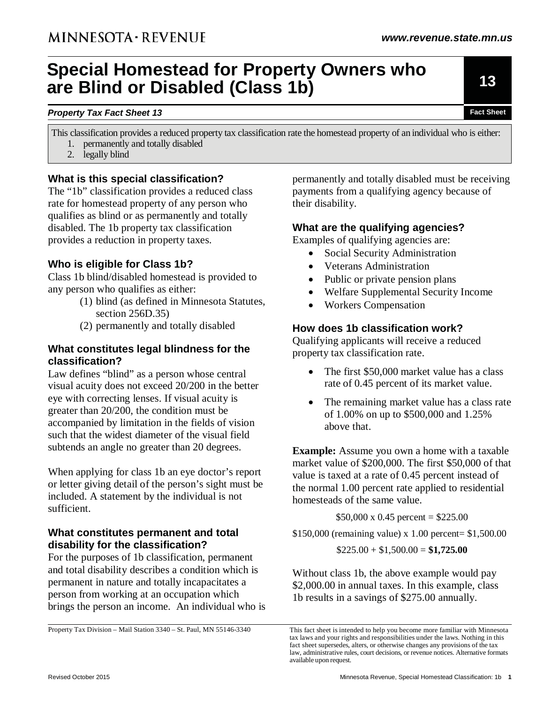# **Special Homestead for Property Owners who are Blind or Disabled (Class 1b)**

#### **Property Tax Fact Sheet 13 Fact Sheet 13 Fact Sheet Fact Sheet Fact Sheet Fact Sheet**

- This classification provides a reduced property tax classification rate the homestead property of an individual who is either: 1. permanently and totally disabled
	- 2. legally blind

## **What is this special classification?**

The "1b" classification provides a reduced class rate for homestead property of any person who qualifies as blind or as permanently and totally disabled. The 1b property tax classification provides a reduction in property taxes.

# **Who is eligible for Class 1b?**

Class 1b blind/disabled homestead is provided to any person who qualifies as either:

- (1) blind (as defined in Minnesota Statutes, section 256D.35)
- (2) permanently and totally disabled

#### **What constitutes legal blindness for the classification?**

Law defines "blind" as a person whose central visual acuity does not exceed 20/200 in the better eye with correcting lenses. If visual acuity is greater than 20/200, the condition must be accompanied by limitation in the fields of vision such that the widest diameter of the visual field subtends an angle no greater than 20 degrees.

When applying for class 1b an eye doctor's report or letter giving detail of the person's sight must be included. A statement by the individual is not sufficient.

#### **What constitutes permanent and total disability for the classification?**

For the purposes of 1b classification, permanent and total disability describes a condition which is permanent in nature and totally incapacitates a person from working at an occupation which brings the person an income. An individual who is

Property Tax Division – Mail Station 3340 – St. Paul, MN 55146-3340

permanently and totally disabled must be receiving payments from a qualifying agency because of their disability.

#### **What are the qualifying agencies?**

Examples of qualifying agencies are:

- Social Security Administration
- Veterans Administration
- Public or private pension plans
- Welfare Supplemental Security Income
- Workers Compensation

# **How does 1b classification work?**

Qualifying applicants will receive a reduced property tax classification rate.

- The first \$50,000 market value has a class rate of 0.45 percent of its market value.
- The remaining market value has a class rate of 1.00% on up to \$500,000 and 1.25% above that.

**Example:** Assume you own a home with a taxable market value of \$200,000. The first \$50,000 of that value is taxed at a rate of 0.45 percent instead of the normal 1.00 percent rate applied to residential homesteads of the same value.

 $$50,000 \times 0.45$  percent = \$225.00

\$150,000 (remaining value) x 1.00 percent= \$1,500.00

 $$225.00 + $1,500.00 = $1,725.00$ 

Without class 1b, the above example would pay \$2,000.00 in annual taxes. In this example, class 1b results in a savings of \$275.00 annually.

**13** 

This fact sheet is intended to help you become more familiar with Minnesota tax laws and your rights and responsibilities under the laws. Nothing in this fact sheet supersedes, alters, or otherwise changes any provisions of the tax law, administrative rules, court decisions, or revenue notices. Alternative formats available upon request.